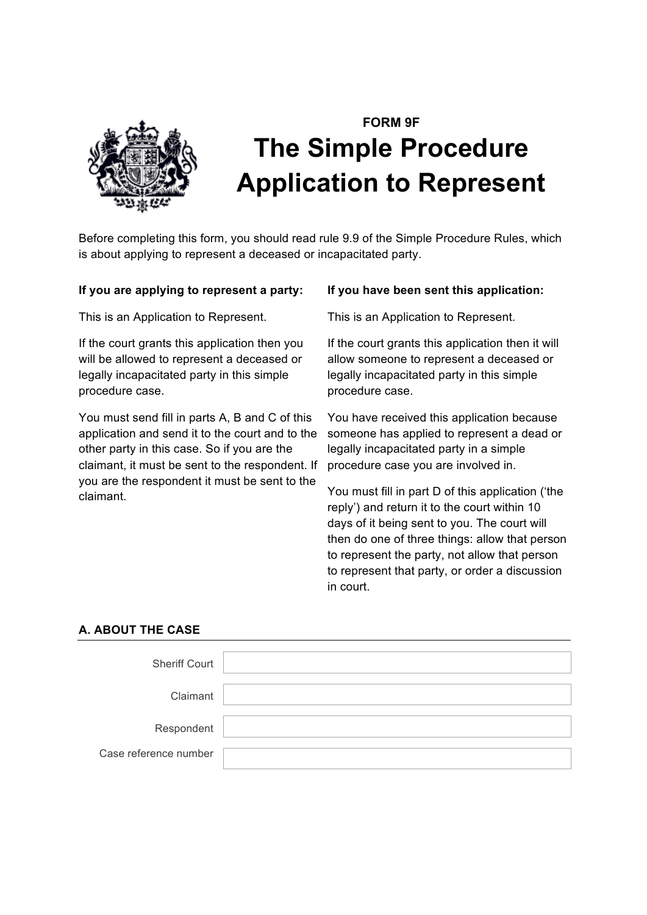

# **FORM 9F The Simple Procedure Application to Represent**

Before completing this form, you should read rule 9.9 of the Simple Procedure Rules, which is about applying to represent a deceased or incapacitated party.

# **If you are applying to represent a party:**

This is an Application to Represent.

If the court grants this application then you will be allowed to represent a deceased or legally incapacitated party in this simple procedure case.

You must send fill in parts A, B and C of this application and send it to the court and to the other party in this case. So if you are the claimant, it must be sent to the respondent. If you are the respondent it must be sent to the claimant.

## **If you have been sent this application:**

This is an Application to Represent.

If the court grants this application then it will allow someone to represent a deceased or legally incapacitated party in this simple procedure case.

You have received this application because someone has applied to represent a dead or legally incapacitated party in a simple procedure case you are involved in.

You must fill in part D of this application ('the reply') and return it to the court within 10 days of it being sent to you. The court will then do one of three things: allow that person to represent the party, not allow that person to represent that party, or order a discussion in court.

# **A. ABOUT THE CASE**

| <b>Sheriff Court</b>  |  |
|-----------------------|--|
| Claimant              |  |
| Respondent            |  |
| Case reference number |  |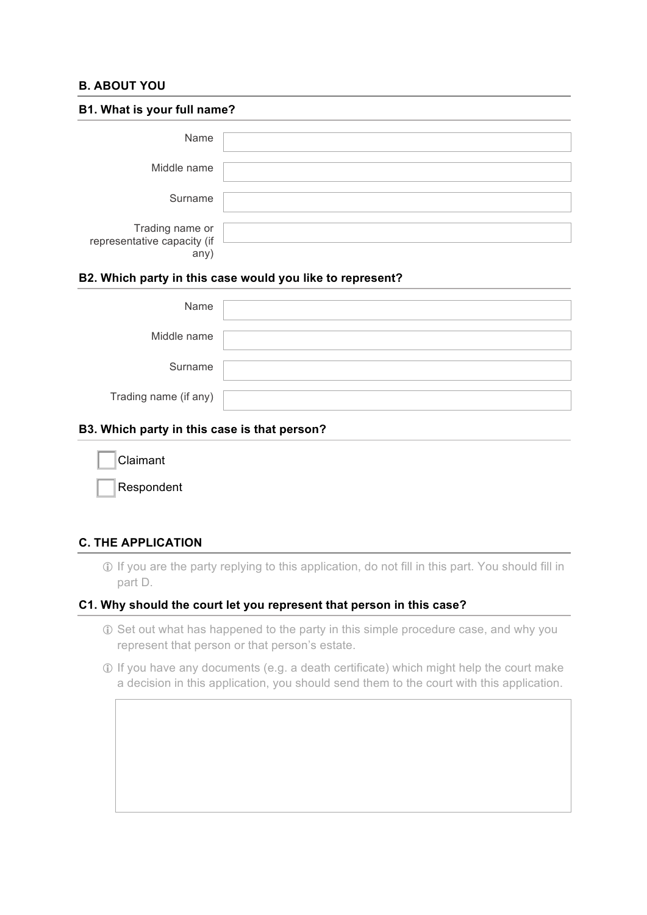## **B. ABOUT YOU**

| B1. What is your full name?                            |  |  |
|--------------------------------------------------------|--|--|
| Name                                                   |  |  |
| Middle name                                            |  |  |
| Surname                                                |  |  |
| Trading name or<br>representative capacity (if<br>any) |  |  |

## **B2. Which party in this case would you like to represent?**

| Name                  |  |
|-----------------------|--|
| Middle name           |  |
| Surname               |  |
| Trading name (if any) |  |

## **B3. Which party in this case is that person?**

| Claimant   |
|------------|
| Respondent |

# **C. THE APPLICATION**

! If you are the party replying to this application, do not fill in this part. You should fill in part D.

## **C1. Why should the court let you represent that person in this case?**

- ! Set out what has happened to the party in this simple procedure case, and why you represent that person or that person's estate.
- ! If you have any documents (e.g. a death certificate) which might help the court make a decision in this application, you should send them to the court with this application.